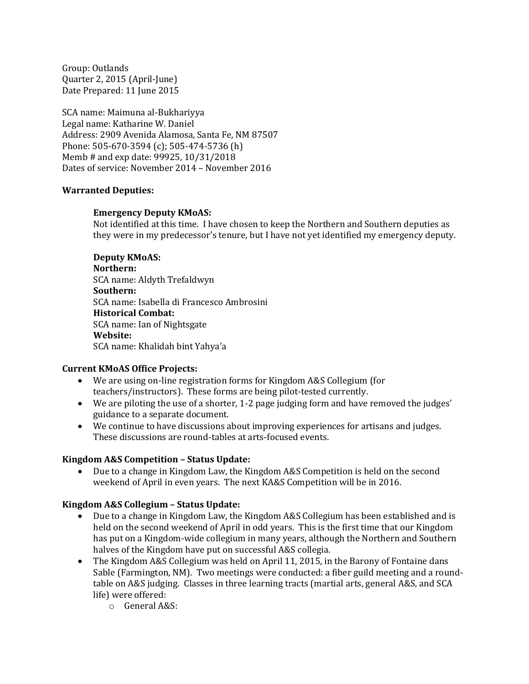Group: Outlands Quarter 2, 2015 (April-June) Date Prepared: 11 June 2015

SCA name: Maimuna al-Bukhariyya Legal name: Katharine W. Daniel Address: 2909 Avenida Alamosa, Santa Fe, NM 87507 Phone: 505-670-3594 (c); 505-474-5736 (h) Memb # and exp date: 99925, 10/31/2018 Dates of service: November 2014 – November 2016

#### **Warranted Deputies:**

#### **Emergency Deputy KMoAS:**

Not identified at this time. I have chosen to keep the Northern and Southern deputies as they were in my predecessor's tenure, but I have not yet identified my emergency deputy.

**Deputy KMoAS: Northern:** SCA name: Aldyth Trefaldwyn **Southern:** SCA name: Isabella di Francesco Ambrosini **Historical Combat:** SCA name: Ian of Nightsgate **Website:** SCA name: Khalidah bint Yahya'a

#### **Current KMoAS Office Projects:**

- We are using on-line registration forms for Kingdom A&S Collegium (for teachers/instructors). These forms are being pilot-tested currently.
- We are piloting the use of a shorter, 1-2 page judging form and have removed the judges' guidance to a separate document.
- We continue to have discussions about improving experiences for artisans and judges. These discussions are round-tables at arts-focused events.

#### **Kingdom A&S Competition – Status Update:**

 Due to a change in Kingdom Law, the Kingdom A&S Competition is held on the second weekend of April in even years. The next KA&S Competition will be in 2016.

#### **Kingdom A&S Collegium – Status Update:**

- Due to a change in Kingdom Law, the Kingdom A&S Collegium has been established and is held on the second weekend of April in odd years. This is the first time that our Kingdom has put on a Kingdom-wide collegium in many years, although the Northern and Southern halves of the Kingdom have put on successful A&S collegia.
- The Kingdom A&S Collegium was held on April 11, 2015, in the Barony of Fontaine dans Sable (Farmington, NM). Two meetings were conducted: a fiber guild meeting and a roundtable on A&S judging. Classes in three learning tracts (martial arts, general A&S, and SCA life) were offered:
	- o General A&S: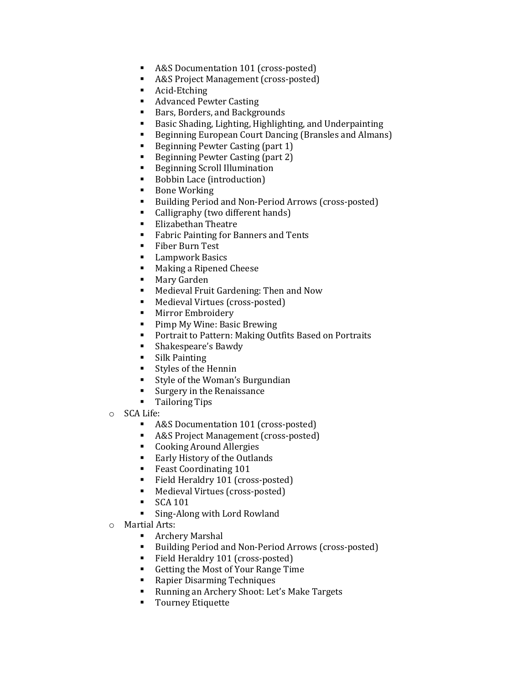- A&S Documentation 101 (cross-posted)
- A&S Project Management (cross-posted)
- Acid-Etching
- Advanced Pewter Casting
- Bars, Borders, and Backgrounds
- Basic Shading, Lighting, Highlighting, and Underpainting
- Beginning European Court Dancing (Bransles and Almans)
- Beginning Pewter Casting (part 1)
- Beginning Pewter Casting (part 2)
- **Beginning Scroll Illumination**
- Bobbin Lace (introduction)
- Bone Working
- Building Period and Non-Period Arrows (cross-posted)
- Calligraphy (two different hands)
- **Elizabethan Theatre**
- **Fabric Painting for Banners and Tents**
- **Fiber Burn Test**
- **E** Lampwork Basics
- Making a Ripened Cheese
- **Mary Garden**
- Medieval Fruit Gardening: Then and Now
- Medieval Virtues (cross-posted)
- **Mirror Embroidery**
- **Pimp My Wine: Basic Brewing**
- **Portrait to Pattern: Making Outfits Based on Portraits**
- **Shakespeare's Bawdy**
- **Silk Painting**
- Styles of the Hennin
- **Style of the Woman's Burgundian**
- **Surgery in the Renaissance**
- **Tailoring Tips**
- o SCA Life:
	- A&S Documentation 101 (cross-posted)
	- A&S Project Management (cross-posted)
	- **Cooking Around Allergies**
	- Early History of the Outlands
	- **Feast Coordinating 101**
	- Field Heraldry 101 (cross-posted)
	- Medieval Virtues (cross-posted)
	- $\blacksquare$  SCA 101
	- Sing-Along with Lord Rowland
- o Martial Arts:
	- Archery Marshal
	- Building Period and Non-Period Arrows (cross-posted)
	- Field Heraldry 101 (cross-posted)
	- Getting the Most of Your Range Time
	- Rapier Disarming Techniques
	- Running an Archery Shoot: Let's Make Targets
	- **Tourney Etiquette**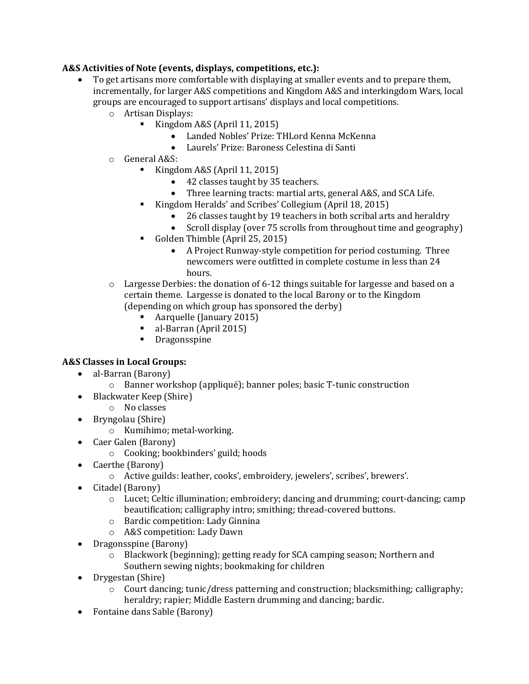## **A&S Activities of Note (events, displays, competitions, etc.):**

- To get artisans more comfortable with displaying at smaller events and to prepare them, incrementally, for larger A&S competitions and Kingdom A&S and interkingdom Wars, local groups are encouraged to support artisans' displays and local competitions.
	- o Artisan Displays:
		- Kingdom A&S (April 11, 2015)
			- Landed Nobles' Prize: THLord Kenna McKenna
			- Laurels' Prize: Baroness Celestina di Santi
	- o General A&S:
		- Kingdom A&S (April 11, 2015)
			- 42 classes taught by 35 teachers.
			- Three learning tracts: martial arts, general A&S, and SCA Life.
			- Kingdom Heralds' and Scribes' Collegium (April 18, 2015)
				- 26 classes taught by 19 teachers in both scribal arts and heraldry
				- Scroll display (over 75 scrolls from throughout time and geography)
		- Golden Thimble (April 25, 2015)
			- A Project Runway-style competition for period costuming. Three newcomers were outfitted in complete costume in less than 24 hours.
	- $\circ$  Largesse Derbies: the donation of 6-12 things suitable for largesse and based on a certain theme. Largesse is donated to the local Barony or to the Kingdom (depending on which group has sponsored the derby)
		- Aarquelle (January 2015)
		- al-Barran (April 2015)
		- **•** Dragonsspine

#### **A&S Classes in Local Groups:**

- al-Barran (Barony)
	- o Banner workshop (appliqué); banner poles; basic T-tunic construction
- Blackwater Keep (Shire)
	- o No classes
- Bryngolau (Shire)
	- o Kumihimo; metal-working.
- Caer Galen (Barony)
	- o Cooking; bookbinders' guild; hoods
- Caerthe (Barony)
	- o Active guilds: leather, cooks', embroidery, jewelers', scribes', brewers'.
- Citadel (Barony)
	- $\circ$  Lucet; Celtic illumination; embroidery; dancing and drumming; court-dancing; camp beautification; calligraphy intro; smithing; thread-covered buttons.
	- o Bardic competition: Lady Ginnina
	- o A&S competition: Lady Dawn
- Dragonsspine (Barony)
	- o Blackwork (beginning); getting ready for SCA camping season; Northern and Southern sewing nights; bookmaking for children
- Drygestan (Shire)
	- o Court dancing; tunic/dress patterning and construction; blacksmithing; calligraphy; heraldry; rapier; Middle Eastern drumming and dancing; bardic.
- Fontaine dans Sable (Barony)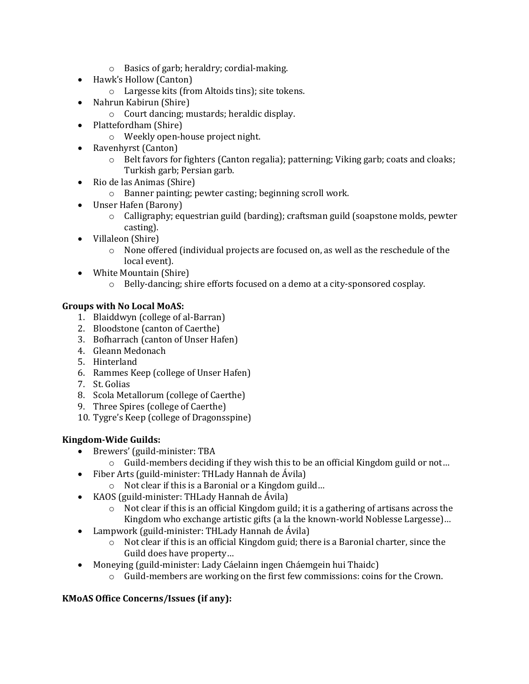- o Basics of garb; heraldry; cordial-making.
- Hawk's Hollow (Canton)
	- o Largesse kits (from Altoids tins); site tokens.
- Nahrun Kabirun (Shire)
	- o Court dancing; mustards; heraldic display.
- Plattefordham (Shire)
	- o Weekly open-house project night.
- Ravenhyrst (Canton)
	- o Belt favors for fighters (Canton regalia); patterning; Viking garb; coats and cloaks; Turkish garb; Persian garb.
- Rio de las Animas (Shire)
	- o Banner painting; pewter casting; beginning scroll work.
- Unser Hafen (Barony)
	- o Calligraphy; equestrian guild (barding); craftsman guild (soapstone molds, pewter casting).
- Villaleon (Shire)
	- $\circ$  None offered (individual projects are focused on, as well as the reschedule of the local event).
- White Mountain (Shire)
	- o Belly-dancing; shire efforts focused on a demo at a city-sponsored cosplay.

## **Groups with No Local MoAS:**

- 1. Blaiddwyn (college of al-Barran)
- 2. Bloodstone (canton of Caerthe)
- 3. Bofharrach (canton of Unser Hafen)
- 4. Gleann Medonach
- 5. Hinterland
- 6. Rammes Keep (college of Unser Hafen)
- 7. St. Golias
- 8. Scola Metallorum (college of Caerthe)
- 9. Three Spires (college of Caerthe)
- 10. Tygre's Keep (college of Dragonsspine)

# **Kingdom-Wide Guilds:**

- Brewers' (guild-minister: TBA
	- $\circ$  Guild-members deciding if they wish this to be an official Kingdom guild or not...
- Fiber Arts (guild-minister: THLady Hannah de Ávila)
	- o Not clear if this is a Baronial or a Kingdom guild…
- KAOS (guild-minister: THLady Hannah de Ávila)
	- o Not clear if this is an official Kingdom guild; it is a gathering of artisans across the Kingdom who exchange artistic gifts (a la the known-world Noblesse Largesse)…
- Lampwork (guild-minister: THLady Hannah de Ávila)
	- $\circ$  Not clear if this is an official Kingdom guid; there is a Baronial charter, since the Guild does have property…
- Moneying (guild-minister: Lady Cáelainn ingen Cháemgein hui Thaidc)
	- $\circ$  Guild-members are working on the first few commissions: coins for the Crown.

# **KMoAS Office Concerns/Issues (if any):**